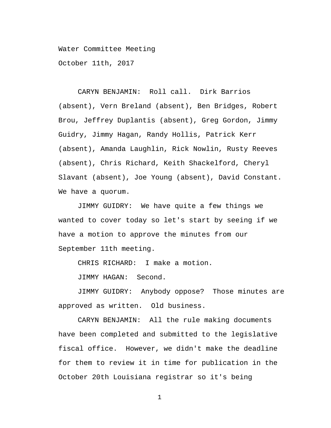Water Committee Meeting

October 11th, 2017

CARYN BENJAMIN: Roll call. Dirk Barrios (absent), Vern Breland (absent), Ben Bridges, Robert Brou, Jeffrey Duplantis (absent), Greg Gordon, Jimmy Guidry, Jimmy Hagan, Randy Hollis, Patrick Kerr (absent), Amanda Laughlin, Rick Nowlin, Rusty Reeves (absent), Chris Richard, Keith Shackelford, Cheryl Slavant (absent), Joe Young (absent), David Constant. We have a quorum.

JIMMY GUIDRY: We have quite a few things we wanted to cover today so let's start by seeing if we have a motion to approve the minutes from our September 11th meeting.

CHRIS RICHARD: I make a motion.

JIMMY HAGAN: Second.

JIMMY GUIDRY: Anybody oppose? Those minutes are approved as written. Old business.

CARYN BENJAMIN: All the rule making documents have been completed and submitted to the legislative fiscal office. However, we didn't make the deadline for them to review it in time for publication in the October 20th Louisiana registrar so it's being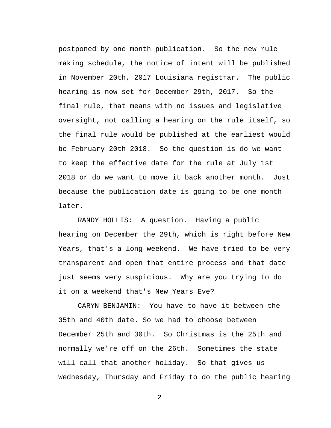postponed by one month publication. So the new rule making schedule, the notice of intent will be published in November 20th, 2017 Louisiana registrar. The public hearing is now set for December 29th, 2017. So the final rule, that means with no issues and legislative oversight, not calling a hearing on the rule itself, so the final rule would be published at the earliest would be February 20th 2018. So the question is do we want to keep the effective date for the rule at July 1st 2018 or do we want to move it back another month. Just because the publication date is going to be one month later.

RANDY HOLLIS: A question. Having a public hearing on December the 29th, which is right before New Years, that's a long weekend. We have tried to be very transparent and open that entire process and that date just seems very suspicious. Why are you trying to do it on a weekend that's New Years Eve?

CARYN BENJAMIN: You have to have it between the 35th and 40th date. So we had to choose between December 25th and 30th. So Christmas is the 25th and normally we're off on the 26th. Sometimes the state will call that another holiday. So that gives us Wednesday, Thursday and Friday to do the public hearing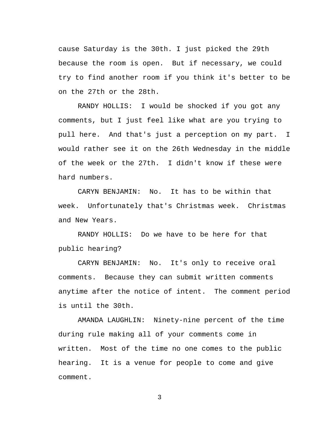cause Saturday is the 30th. I just picked the 29th because the room is open. But if necessary, we could try to find another room if you think it's better to be on the 27th or the 28th.

RANDY HOLLIS: I would be shocked if you got any comments, but I just feel like what are you trying to pull here. And that's just a perception on my part. I would rather see it on the 26th Wednesday in the middle of the week or the 27th. I didn't know if these were hard numbers.

CARYN BENJAMIN: No. It has to be within that week. Unfortunately that's Christmas week. Christmas and New Years.

RANDY HOLLIS: Do we have to be here for that public hearing?

CARYN BENJAMIN: No. It's only to receive oral comments. Because they can submit written comments anytime after the notice of intent. The comment period is until the 30th.

AMANDA LAUGHLIN: Ninety-nine percent of the time during rule making all of your comments come in written. Most of the time no one comes to the public hearing. It is a venue for people to come and give comment.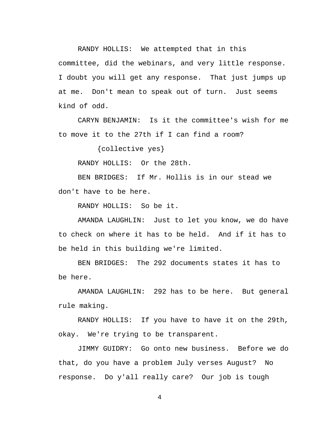RANDY HOLLIS: We attempted that in this committee, did the webinars, and very little response. I doubt you will get any response. That just jumps up at me. Don't mean to speak out of turn. Just seems kind of odd.

CARYN BENJAMIN: Is it the committee's wish for me to move it to the 27th if I can find a room?

{collective yes}

RANDY HOLLIS: Or the 28th.

BEN BRIDGES: If Mr. Hollis is in our stead we don't have to be here.

RANDY HOLLIS: So be it.

AMANDA LAUGHLIN: Just to let you know, we do have to check on where it has to be held. And if it has to be held in this building we're limited.

BEN BRIDGES: The 292 documents states it has to be here.

AMANDA LAUGHLIN: 292 has to be here. But general rule making.

RANDY HOLLIS: If you have to have it on the 29th, okay. We're trying to be transparent.

JIMMY GUIDRY: Go onto new business. Before we do that, do you have a problem July verses August? No response. Do y'all really care? Our job is tough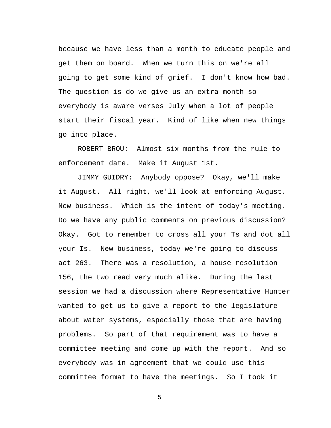because we have less than a month to educate people and get them on board. When we turn this on we're all going to get some kind of grief. I don't know how bad. The question is do we give us an extra month so everybody is aware verses July when a lot of people start their fiscal year. Kind of like when new things go into place.

ROBERT BROU: Almost six months from the rule to enforcement date. Make it August 1st.

JIMMY GUIDRY: Anybody oppose? Okay, we'll make it August. All right, we'll look at enforcing August. New business. Which is the intent of today's meeting. Do we have any public comments on previous discussion? Okay. Got to remember to cross all your Ts and dot all your Is. New business, today we're going to discuss act 263. There was a resolution, a house resolution 156, the two read very much alike. During the last session we had a discussion where Representative Hunter wanted to get us to give a report to the legislature about water systems, especially those that are having problems. So part of that requirement was to have a committee meeting and come up with the report. And so everybody was in agreement that we could use this committee format to have the meetings. So I took it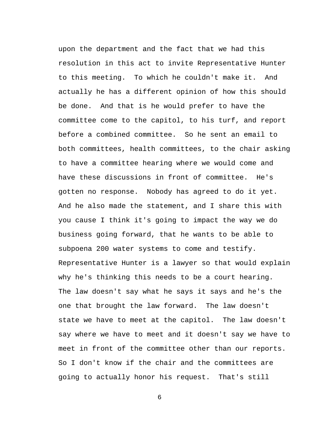upon the department and the fact that we had this resolution in this act to invite Representative Hunter to this meeting. To which he couldn't make it. And actually he has a different opinion of how this should be done. And that is he would prefer to have the committee come to the capitol, to his turf, and report before a combined committee. So he sent an email to both committees, health committees, to the chair asking to have a committee hearing where we would come and have these discussions in front of committee. He's gotten no response. Nobody has agreed to do it yet. And he also made the statement, and I share this with you cause I think it's going to impact the way we do business going forward, that he wants to be able to subpoena 200 water systems to come and testify. Representative Hunter is a lawyer so that would explain why he's thinking this needs to be a court hearing. The law doesn't say what he says it says and he's the one that brought the law forward. The law doesn't state we have to meet at the capitol. The law doesn't say where we have to meet and it doesn't say we have to meet in front of the committee other than our reports. So I don't know if the chair and the committees are going to actually honor his request. That's still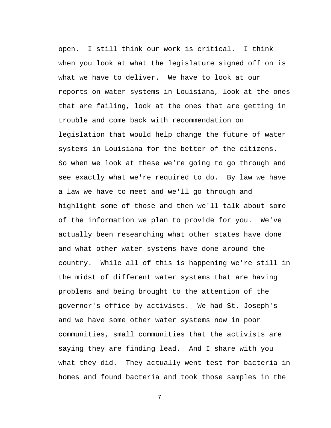open. I still think our work is critical. I think when you look at what the legislature signed off on is what we have to deliver. We have to look at our reports on water systems in Louisiana, look at the ones that are failing, look at the ones that are getting in trouble and come back with recommendation on legislation that would help change the future of water systems in Louisiana for the better of the citizens. So when we look at these we're going to go through and see exactly what we're required to do. By law we have a law we have to meet and we'll go through and highlight some of those and then we'll talk about some of the information we plan to provide for you. We've actually been researching what other states have done and what other water systems have done around the country. While all of this is happening we're still in the midst of different water systems that are having problems and being brought to the attention of the governor's office by activists. We had St. Joseph's and we have some other water systems now in poor communities, small communities that the activists are saying they are finding lead. And I share with you what they did. They actually went test for bacteria in homes and found bacteria and took those samples in the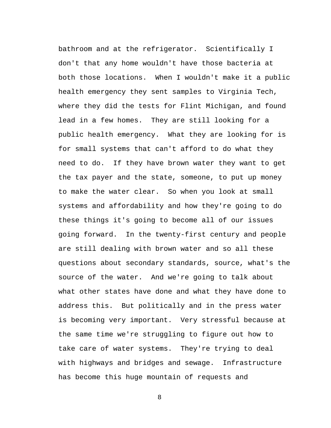bathroom and at the refrigerator. Scientifically I don't that any home wouldn't have those bacteria at both those locations. When I wouldn't make it a public health emergency they sent samples to Virginia Tech, where they did the tests for Flint Michigan, and found lead in a few homes. They are still looking for a public health emergency. What they are looking for is for small systems that can't afford to do what they need to do. If they have brown water they want to get the tax payer and the state, someone, to put up money to make the water clear. So when you look at small systems and affordability and how they're going to do these things it's going to become all of our issues going forward. In the twenty-first century and people are still dealing with brown water and so all these questions about secondary standards, source, what's the source of the water. And we're going to talk about what other states have done and what they have done to address this. But politically and in the press water is becoming very important. Very stressful because at the same time we're struggling to figure out how to take care of water systems. They're trying to deal with highways and bridges and sewage. Infrastructure has become this huge mountain of requests and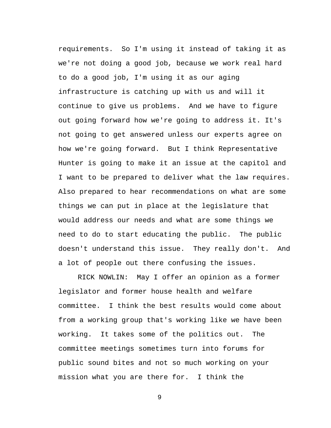requirements. So I'm using it instead of taking it as we're not doing a good job, because we work real hard to do a good job, I'm using it as our aging infrastructure is catching up with us and will it continue to give us problems. And we have to figure out going forward how we're going to address it. It's not going to get answered unless our experts agree on how we're going forward. But I think Representative Hunter is going to make it an issue at the capitol and I want to be prepared to deliver what the law requires. Also prepared to hear recommendations on what are some things we can put in place at the legislature that would address our needs and what are some things we need to do to start educating the public. The public doesn't understand this issue. They really don't. And a lot of people out there confusing the issues.

RICK NOWLIN: May I offer an opinion as a former legislator and former house health and welfare committee. I think the best results would come about from a working group that's working like we have been working. It takes some of the politics out. The committee meetings sometimes turn into forums for public sound bites and not so much working on your mission what you are there for. I think the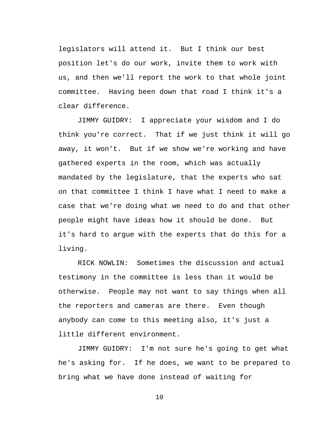legislators will attend it. But I think our best position let's do our work, invite them to work with us, and then we'll report the work to that whole joint committee. Having been down that road I think it's a clear difference.

JIMMY GUIDRY: I appreciate your wisdom and I do think you're correct. That if we just think it will go away, it won't. But if we show we're working and have gathered experts in the room, which was actually mandated by the legislature, that the experts who sat on that committee I think I have what I need to make a case that we're doing what we need to do and that other people might have ideas how it should be done. But it's hard to argue with the experts that do this for a living.

RICK NOWLIN: Sometimes the discussion and actual testimony in the committee is less than it would be otherwise. People may not want to say things when all the reporters and cameras are there. Even though anybody can come to this meeting also, it's just a little different environment.

JIMMY GUIDRY: I'm not sure he's going to get what he's asking for. If he does, we want to be prepared to bring what we have done instead of waiting for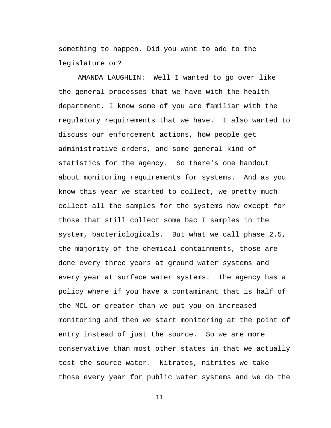something to happen. Did you want to add to the legislature or?

AMANDA LAUGHLIN: Well I wanted to go over like the general processes that we have with the health department. I know some of you are familiar with the regulatory requirements that we have. I also wanted to discuss our enforcement actions, how people get administrative orders, and some general kind of statistics for the agency. So there's one handout about monitoring requirements for systems. And as you know this year we started to collect, we pretty much collect all the samples for the systems now except for those that still collect some bac T samples in the system, bacteriologicals. But what we call phase 2.5, the majority of the chemical containments, those are done every three years at ground water systems and every year at surface water systems. The agency has a policy where if you have a contaminant that is half of the MCL or greater than we put you on increased monitoring and then we start monitoring at the point of entry instead of just the source. So we are more conservative than most other states in that we actually test the source water. Nitrates, nitrites we take those every year for public water systems and we do the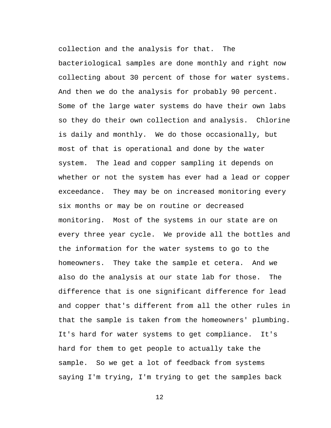collection and the analysis for that. The bacteriological samples are done monthly and right now collecting about 30 percent of those for water systems. And then we do the analysis for probably 90 percent. Some of the large water systems do have their own labs so they do their own collection and analysis. Chlorine is daily and monthly. We do those occasionally, but most of that is operational and done by the water system. The lead and copper sampling it depends on whether or not the system has ever had a lead or copper exceedance. They may be on increased monitoring every six months or may be on routine or decreased monitoring. Most of the systems in our state are on every three year cycle. We provide all the bottles and the information for the water systems to go to the homeowners. They take the sample et cetera. And we also do the analysis at our state lab for those. The difference that is one significant difference for lead and copper that's different from all the other rules in that the sample is taken from the homeowners' plumbing. It's hard for water systems to get compliance. It's hard for them to get people to actually take the sample. So we get a lot of feedback from systems saying I'm trying, I'm trying to get the samples back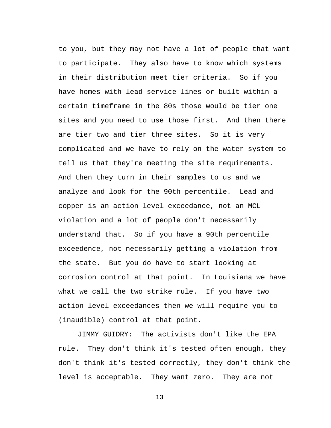to you, but they may not have a lot of people that want to participate. They also have to know which systems in their distribution meet tier criteria. So if you have homes with lead service lines or built within a certain timeframe in the 80s those would be tier one sites and you need to use those first. And then there are tier two and tier three sites. So it is very complicated and we have to rely on the water system to tell us that they're meeting the site requirements. And then they turn in their samples to us and we analyze and look for the 90th percentile. Lead and copper is an action level exceedance, not an MCL violation and a lot of people don't necessarily understand that. So if you have a 90th percentile exceedence, not necessarily getting a violation from the state. But you do have to start looking at corrosion control at that point. In Louisiana we have what we call the two strike rule. If you have two action level exceedances then we will require you to (inaudible) control at that point.

JIMMY GUIDRY: The activists don't like the EPA rule. They don't think it's tested often enough, they don't think it's tested correctly, they don't think the level is acceptable. They want zero. They are not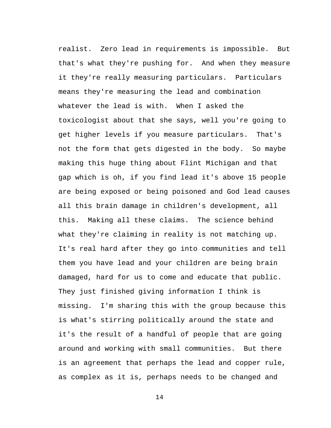realist. Zero lead in requirements is impossible. But that's what they're pushing for. And when they measure it they're really measuring particulars. Particulars means they're measuring the lead and combination whatever the lead is with. When I asked the toxicologist about that she says, well you're going to get higher levels if you measure particulars. That's not the form that gets digested in the body. So maybe making this huge thing about Flint Michigan and that gap which is oh, if you find lead it's above 15 people are being exposed or being poisoned and God lead causes all this brain damage in children's development, all this. Making all these claims. The science behind what they're claiming in reality is not matching up. It's real hard after they go into communities and tell them you have lead and your children are being brain damaged, hard for us to come and educate that public. They just finished giving information I think is missing. I'm sharing this with the group because this is what's stirring politically around the state and it's the result of a handful of people that are going around and working with small communities. But there is an agreement that perhaps the lead and copper rule, as complex as it is, perhaps needs to be changed and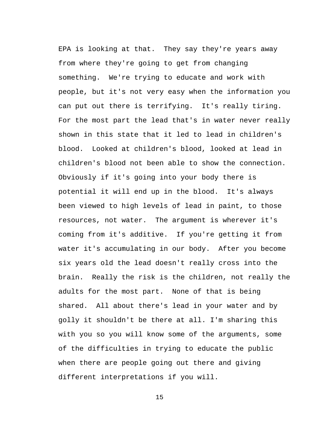EPA is looking at that. They say they're years away from where they're going to get from changing something. We're trying to educate and work with people, but it's not very easy when the information you can put out there is terrifying. It's really tiring. For the most part the lead that's in water never really shown in this state that it led to lead in children's blood. Looked at children's blood, looked at lead in children's blood not been able to show the connection. Obviously if it's going into your body there is potential it will end up in the blood. It's always been viewed to high levels of lead in paint, to those resources, not water. The argument is wherever it's coming from it's additive. If you're getting it from water it's accumulating in our body. After you become six years old the lead doesn't really cross into the brain. Really the risk is the children, not really the adults for the most part. None of that is being shared. All about there's lead in your water and by golly it shouldn't be there at all. I'm sharing this with you so you will know some of the arguments, some of the difficulties in trying to educate the public when there are people going out there and giving different interpretations if you will.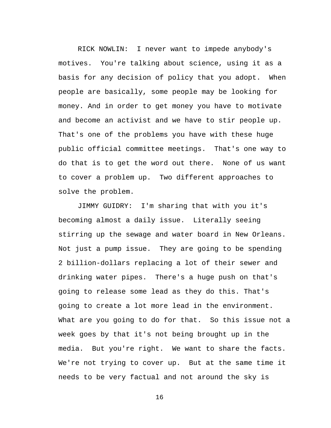RICK NOWLIN: I never want to impede anybody's motives. You're talking about science, using it as a basis for any decision of policy that you adopt. When people are basically, some people may be looking for money. And in order to get money you have to motivate and become an activist and we have to stir people up. That's one of the problems you have with these huge public official committee meetings. That's one way to do that is to get the word out there. None of us want to cover a problem up. Two different approaches to solve the problem.

JIMMY GUIDRY: I'm sharing that with you it's becoming almost a daily issue. Literally seeing stirring up the sewage and water board in New Orleans. Not just a pump issue. They are going to be spending 2 billion-dollars replacing a lot of their sewer and drinking water pipes. There's a huge push on that's going to release some lead as they do this. That's going to create a lot more lead in the environment. What are you going to do for that. So this issue not a week goes by that it's not being brought up in the media. But you're right. We want to share the facts. We're not trying to cover up. But at the same time it needs to be very factual and not around the sky is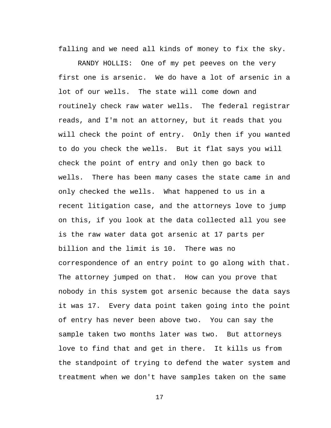falling and we need all kinds of money to fix the sky.

RANDY HOLLIS: One of my pet peeves on the very first one is arsenic. We do have a lot of arsenic in a lot of our wells. The state will come down and routinely check raw water wells. The federal registrar reads, and I'm not an attorney, but it reads that you will check the point of entry. Only then if you wanted to do you check the wells. But it flat says you will check the point of entry and only then go back to wells. There has been many cases the state came in and only checked the wells. What happened to us in a recent litigation case, and the attorneys love to jump on this, if you look at the data collected all you see is the raw water data got arsenic at 17 parts per billion and the limit is 10. There was no correspondence of an entry point to go along with that. The attorney jumped on that. How can you prove that nobody in this system got arsenic because the data says it was 17. Every data point taken going into the point of entry has never been above two. You can say the sample taken two months later was two. But attorneys love to find that and get in there. It kills us from the standpoint of trying to defend the water system and treatment when we don't have samples taken on the same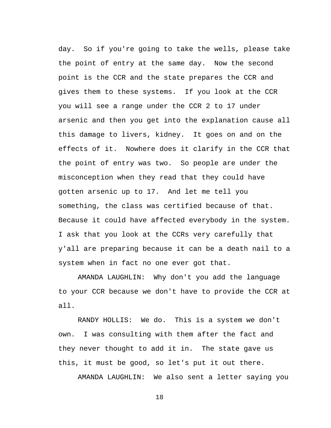day. So if you're going to take the wells, please take the point of entry at the same day. Now the second point is the CCR and the state prepares the CCR and gives them to these systems. If you look at the CCR you will see a range under the CCR 2 to 17 under arsenic and then you get into the explanation cause all this damage to livers, kidney. It goes on and on the effects of it. Nowhere does it clarify in the CCR that the point of entry was two. So people are under the misconception when they read that they could have gotten arsenic up to 17. And let me tell you something, the class was certified because of that. Because it could have affected everybody in the system. I ask that you look at the CCRs very carefully that y'all are preparing because it can be a death nail to a system when in fact no one ever got that.

AMANDA LAUGHLIN: Why don't you add the language to your CCR because we don't have to provide the CCR at all.

RANDY HOLLIS: We do. This is a system we don't own. I was consulting with them after the fact and they never thought to add it in. The state gave us this, it must be good, so let's put it out there.

AMANDA LAUGHLIN: We also sent a letter saying you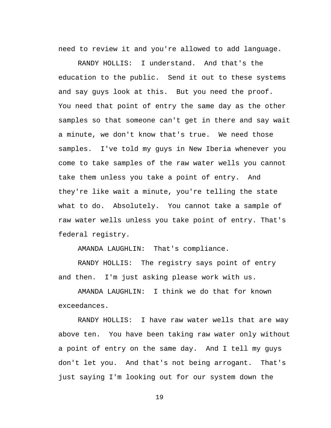need to review it and you're allowed to add language.

RANDY HOLLIS: I understand. And that's the education to the public. Send it out to these systems and say guys look at this. But you need the proof. You need that point of entry the same day as the other samples so that someone can't get in there and say wait a minute, we don't know that's true. We need those samples. I've told my guys in New Iberia whenever you come to take samples of the raw water wells you cannot take them unless you take a point of entry. And they're like wait a minute, you're telling the state what to do. Absolutely. You cannot take a sample of raw water wells unless you take point of entry. That's federal registry.

AMANDA LAUGHLIN: That's compliance.

RANDY HOLLIS: The registry says point of entry and then. I'm just asking please work with us.

AMANDA LAUGHLIN: I think we do that for known exceedances.

RANDY HOLLIS: I have raw water wells that are way above ten. You have been taking raw water only without a point of entry on the same day. And I tell my guys don't let you. And that's not being arrogant. That's just saying I'm looking out for our system down the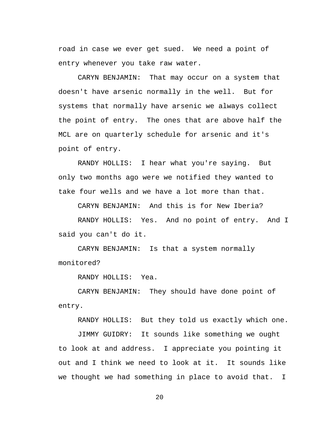road in case we ever get sued. We need a point of entry whenever you take raw water.

CARYN BENJAMIN: That may occur on a system that doesn't have arsenic normally in the well. But for systems that normally have arsenic we always collect the point of entry. The ones that are above half the MCL are on quarterly schedule for arsenic and it's point of entry.

RANDY HOLLIS: I hear what you're saying. But only two months ago were we notified they wanted to take four wells and we have a lot more than that.

CARYN BENJAMIN: And this is for New Iberia?

RANDY HOLLIS: Yes. And no point of entry. And I said you can't do it.

CARYN BENJAMIN: Is that a system normally monitored?

RANDY HOLLIS: Yea.

CARYN BENJAMIN: They should have done point of entry.

RANDY HOLLIS: But they told us exactly which one.

JIMMY GUIDRY: It sounds like something we ought to look at and address. I appreciate you pointing it out and I think we need to look at it. It sounds like we thought we had something in place to avoid that. I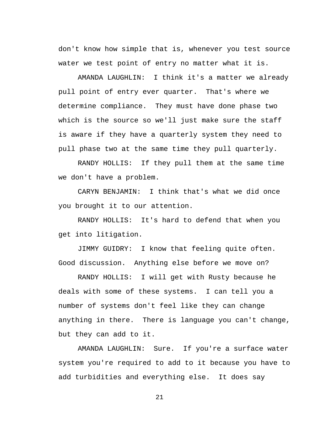don't know how simple that is, whenever you test source water we test point of entry no matter what it is.

AMANDA LAUGHLIN: I think it's a matter we already pull point of entry ever quarter. That's where we determine compliance. They must have done phase two which is the source so we'll just make sure the staff is aware if they have a quarterly system they need to pull phase two at the same time they pull quarterly.

RANDY HOLLIS: If they pull them at the same time we don't have a problem.

CARYN BENJAMIN: I think that's what we did once you brought it to our attention.

RANDY HOLLIS: It's hard to defend that when you get into litigation.

JIMMY GUIDRY: I know that feeling quite often. Good discussion. Anything else before we move on?

RANDY HOLLIS: I will get with Rusty because he deals with some of these systems. I can tell you a number of systems don't feel like they can change anything in there. There is language you can't change, but they can add to it.

AMANDA LAUGHLIN: Sure. If you're a surface water system you're required to add to it because you have to add turbidities and everything else. It does say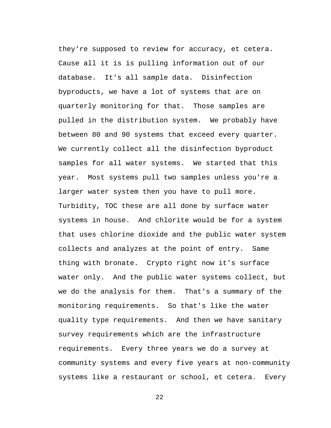they're supposed to review for accuracy, et cetera. Cause all it is is pulling information out of our database. It's all sample data. Disinfection byproducts, we have a lot of systems that are on quarterly monitoring for that. Those samples are pulled in the distribution system. We probably have between 80 and 90 systems that exceed every quarter. We currently collect all the disinfection byproduct samples for all water systems. We started that this year. Most systems pull two samples unless you're a larger water system then you have to pull more. Turbidity, TOC these are all done by surface water systems in house. And chlorite would be for a system that uses chlorine dioxide and the public water system collects and analyzes at the point of entry. Same thing with bronate. Crypto right now it's surface water only. And the public water systems collect, but we do the analysis for them. That's a summary of the monitoring requirements. So that's like the water quality type requirements. And then we have sanitary survey requirements which are the infrastructure requirements. Every three years we do a survey at community systems and every five years at non-community systems like a restaurant or school, et cetera. Every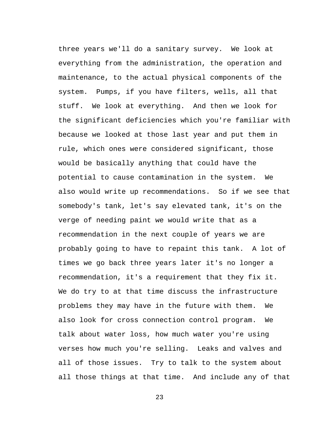three years we'll do a sanitary survey. We look at everything from the administration, the operation and maintenance, to the actual physical components of the system. Pumps, if you have filters, wells, all that stuff. We look at everything. And then we look for the significant deficiencies which you're familiar with because we looked at those last year and put them in rule, which ones were considered significant, those would be basically anything that could have the potential to cause contamination in the system. We also would write up recommendations. So if we see that somebody's tank, let's say elevated tank, it's on the verge of needing paint we would write that as a recommendation in the next couple of years we are probably going to have to repaint this tank. A lot of times we go back three years later it's no longer a recommendation, it's a requirement that they fix it. We do try to at that time discuss the infrastructure problems they may have in the future with them. We also look for cross connection control program. We talk about water loss, how much water you're using verses how much you're selling. Leaks and valves and all of those issues. Try to talk to the system about all those things at that time. And include any of that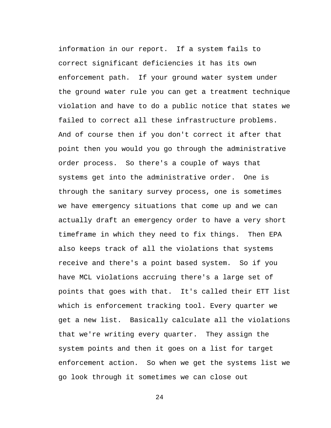information in our report. If a system fails to correct significant deficiencies it has its own enforcement path. If your ground water system under the ground water rule you can get a treatment technique violation and have to do a public notice that states we failed to correct all these infrastructure problems. And of course then if you don't correct it after that point then you would you go through the administrative order process. So there's a couple of ways that systems get into the administrative order. One is through the sanitary survey process, one is sometimes we have emergency situations that come up and we can actually draft an emergency order to have a very short timeframe in which they need to fix things. Then EPA also keeps track of all the violations that systems receive and there's a point based system. So if you have MCL violations accruing there's a large set of points that goes with that. It's called their ETT list which is enforcement tracking tool. Every quarter we get a new list. Basically calculate all the violations that we're writing every quarter. They assign the system points and then it goes on a list for target enforcement action. So when we get the systems list we go look through it sometimes we can close out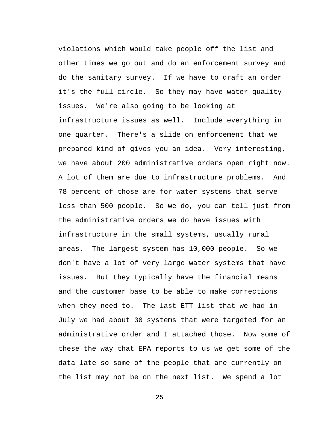violations which would take people off the list and other times we go out and do an enforcement survey and do the sanitary survey. If we have to draft an order it's the full circle. So they may have water quality issues. We're also going to be looking at infrastructure issues as well. Include everything in one quarter. There's a slide on enforcement that we prepared kind of gives you an idea. Very interesting, we have about 200 administrative orders open right now. A lot of them are due to infrastructure problems. And 78 percent of those are for water systems that serve less than 500 people. So we do, you can tell just from the administrative orders we do have issues with infrastructure in the small systems, usually rural areas. The largest system has 10,000 people. So we don't have a lot of very large water systems that have issues. But they typically have the financial means and the customer base to be able to make corrections when they need to. The last ETT list that we had in July we had about 30 systems that were targeted for an administrative order and I attached those. Now some of these the way that EPA reports to us we get some of the data late so some of the people that are currently on the list may not be on the next list. We spend a lot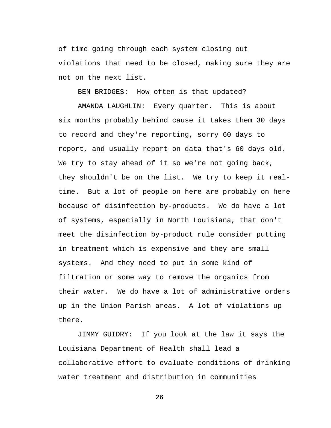of time going through each system closing out violations that need to be closed, making sure they are not on the next list.

BEN BRIDGES: How often is that updated?

AMANDA LAUGHLIN: Every quarter. This is about six months probably behind cause it takes them 30 days to record and they're reporting, sorry 60 days to report, and usually report on data that's 60 days old. We try to stay ahead of it so we're not going back, they shouldn't be on the list. We try to keep it realtime. But a lot of people on here are probably on here because of disinfection by-products. We do have a lot of systems, especially in North Louisiana, that don't meet the disinfection by-product rule consider putting in treatment which is expensive and they are small systems. And they need to put in some kind of filtration or some way to remove the organics from their water. We do have a lot of administrative orders up in the Union Parish areas. A lot of violations up there.

JIMMY GUIDRY: If you look at the law it says the Louisiana Department of Health shall lead a collaborative effort to evaluate conditions of drinking water treatment and distribution in communities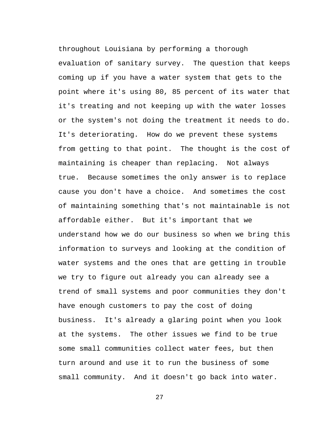throughout Louisiana by performing a thorough evaluation of sanitary survey. The question that keeps coming up if you have a water system that gets to the point where it's using 80, 85 percent of its water that it's treating and not keeping up with the water losses or the system's not doing the treatment it needs to do. It's deteriorating. How do we prevent these systems from getting to that point. The thought is the cost of maintaining is cheaper than replacing. Not always true. Because sometimes the only answer is to replace cause you don't have a choice. And sometimes the cost of maintaining something that's not maintainable is not affordable either. But it's important that we understand how we do our business so when we bring this information to surveys and looking at the condition of water systems and the ones that are getting in trouble we try to figure out already you can already see a trend of small systems and poor communities they don't have enough customers to pay the cost of doing business. It's already a glaring point when you look at the systems. The other issues we find to be true some small communities collect water fees, but then turn around and use it to run the business of some small community. And it doesn't go back into water.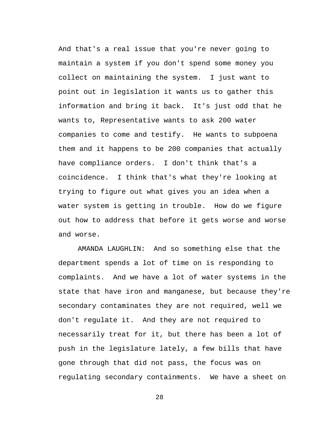And that's a real issue that you're never going to maintain a system if you don't spend some money you collect on maintaining the system. I just want to point out in legislation it wants us to gather this information and bring it back. It's just odd that he wants to, Representative wants to ask 200 water companies to come and testify. He wants to subpoena them and it happens to be 200 companies that actually have compliance orders. I don't think that's a coincidence. I think that's what they're looking at trying to figure out what gives you an idea when a water system is getting in trouble. How do we figure out how to address that before it gets worse and worse and worse.

AMANDA LAUGHLIN: And so something else that the department spends a lot of time on is responding to complaints. And we have a lot of water systems in the state that have iron and manganese, but because they're secondary contaminates they are not required, well we don't regulate it. And they are not required to necessarily treat for it, but there has been a lot of push in the legislature lately, a few bills that have gone through that did not pass, the focus was on regulating secondary containments. We have a sheet on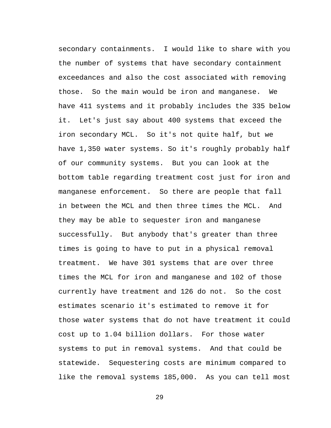secondary containments. I would like to share with you the number of systems that have secondary containment exceedances and also the cost associated with removing those. So the main would be iron and manganese. We have 411 systems and it probably includes the 335 below it. Let's just say about 400 systems that exceed the iron secondary MCL. So it's not quite half, but we have 1,350 water systems. So it's roughly probably half of our community systems. But you can look at the bottom table regarding treatment cost just for iron and manganese enforcement. So there are people that fall in between the MCL and then three times the MCL. And they may be able to sequester iron and manganese successfully. But anybody that's greater than three times is going to have to put in a physical removal treatment. We have 301 systems that are over three times the MCL for iron and manganese and 102 of those currently have treatment and 126 do not. So the cost estimates scenario it's estimated to remove it for those water systems that do not have treatment it could cost up to 1.04 billion dollars. For those water systems to put in removal systems. And that could be statewide. Sequestering costs are minimum compared to like the removal systems 185,000. As you can tell most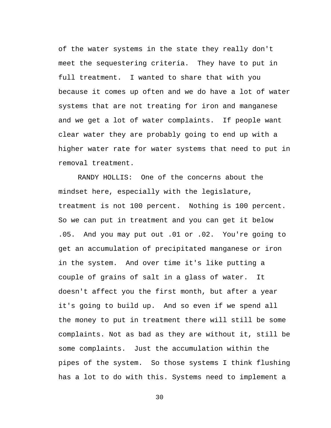of the water systems in the state they really don't meet the sequestering criteria. They have to put in full treatment. I wanted to share that with you because it comes up often and we do have a lot of water systems that are not treating for iron and manganese and we get a lot of water complaints. If people want clear water they are probably going to end up with a higher water rate for water systems that need to put in removal treatment.

RANDY HOLLIS: One of the concerns about the mindset here, especially with the legislature, treatment is not 100 percent. Nothing is 100 percent. So we can put in treatment and you can get it below .05. And you may put out .01 or .02. You're going to get an accumulation of precipitated manganese or iron in the system. And over time it's like putting a couple of grains of salt in a glass of water. It doesn't affect you the first month, but after a year it's going to build up. And so even if we spend all the money to put in treatment there will still be some complaints. Not as bad as they are without it, still be some complaints. Just the accumulation within the pipes of the system. So those systems I think flushing has a lot to do with this. Systems need to implement a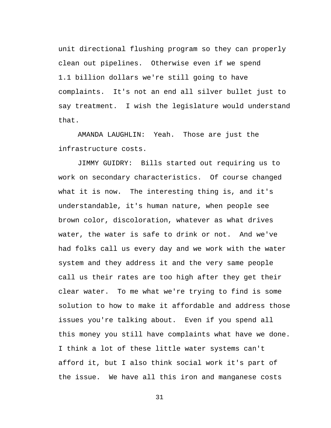unit directional flushing program so they can properly clean out pipelines. Otherwise even if we spend 1.1 billion dollars we're still going to have complaints. It's not an end all silver bullet just to say treatment. I wish the legislature would understand that.

AMANDA LAUGHLIN: Yeah. Those are just the infrastructure costs.

JIMMY GUIDRY: Bills started out requiring us to work on secondary characteristics. Of course changed what it is now. The interesting thing is, and it's understandable, it's human nature, when people see brown color, discoloration, whatever as what drives water, the water is safe to drink or not. And we've had folks call us every day and we work with the water system and they address it and the very same people call us their rates are too high after they get their clear water. To me what we're trying to find is some solution to how to make it affordable and address those issues you're talking about. Even if you spend all this money you still have complaints what have we done. I think a lot of these little water systems can't afford it, but I also think social work it's part of the issue. We have all this iron and manganese costs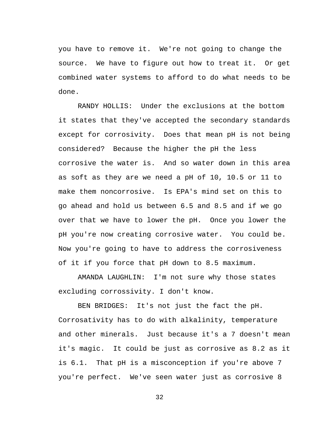you have to remove it. We're not going to change the source. We have to figure out how to treat it. Or get combined water systems to afford to do what needs to be done.

RANDY HOLLIS: Under the exclusions at the bottom it states that they've accepted the secondary standards except for corrosivity. Does that mean pH is not being considered? Because the higher the pH the less corrosive the water is. And so water down in this area as soft as they are we need a pH of 10, 10.5 or 11 to make them noncorrosive. Is EPA's mind set on this to go ahead and hold us between 6.5 and 8.5 and if we go over that we have to lower the pH. Once you lower the pH you're now creating corrosive water. You could be. Now you're going to have to address the corrosiveness of it if you force that pH down to 8.5 maximum.

AMANDA LAUGHLIN: I'm not sure why those states excluding corrossivity. I don't know.

BEN BRIDGES: It's not just the fact the pH. Corrosativity has to do with alkalinity, temperature and other minerals. Just because it's a 7 doesn't mean it's magic. It could be just as corrosive as 8.2 as it is 6.1. That pH is a misconception if you're above 7 you're perfect. We've seen water just as corrosive 8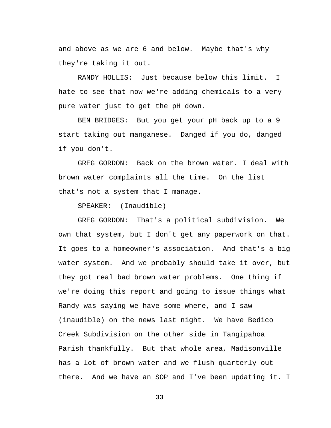and above as we are 6 and below. Maybe that's why they're taking it out.

RANDY HOLLIS: Just because below this limit. I hate to see that now we're adding chemicals to a very pure water just to get the pH down.

BEN BRIDGES: But you get your pH back up to a 9 start taking out manganese. Danged if you do, danged if you don't.

GREG GORDON: Back on the brown water. I deal with brown water complaints all the time. On the list that's not a system that I manage.

SPEAKER: (Inaudible)

GREG GORDON: That's a political subdivision. We own that system, but I don't get any paperwork on that. It goes to a homeowner's association. And that's a big water system. And we probably should take it over, but they got real bad brown water problems. One thing if we're doing this report and going to issue things what Randy was saying we have some where, and I saw (inaudible) on the news last night. We have Bedico Creek Subdivision on the other side in Tangipahoa Parish thankfully. But that whole area, Madisonville has a lot of brown water and we flush quarterly out there. And we have an SOP and I've been updating it. I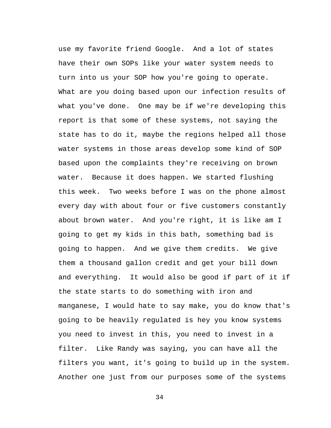use my favorite friend Google. And a lot of states have their own SOPs like your water system needs to turn into us your SOP how you're going to operate. What are you doing based upon our infection results of what you've done. One may be if we're developing this report is that some of these systems, not saying the state has to do it, maybe the regions helped all those water systems in those areas develop some kind of SOP based upon the complaints they're receiving on brown water. Because it does happen. We started flushing this week. Two weeks before I was on the phone almost every day with about four or five customers constantly about brown water. And you're right, it is like am I going to get my kids in this bath, something bad is going to happen. And we give them credits. We give them a thousand gallon credit and get your bill down and everything. It would also be good if part of it if the state starts to do something with iron and manganese, I would hate to say make, you do know that's going to be heavily regulated is hey you know systems you need to invest in this, you need to invest in a filter. Like Randy was saying, you can have all the filters you want, it's going to build up in the system. Another one just from our purposes some of the systems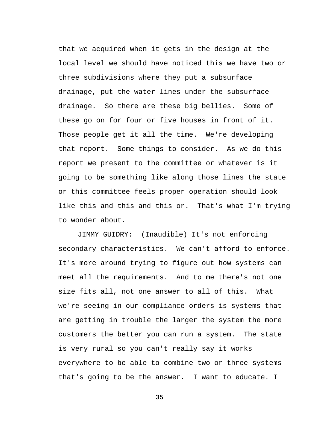that we acquired when it gets in the design at the local level we should have noticed this we have two or three subdivisions where they put a subsurface drainage, put the water lines under the subsurface drainage. So there are these big bellies. Some of these go on for four or five houses in front of it. Those people get it all the time. We're developing that report. Some things to consider. As we do this report we present to the committee or whatever is it going to be something like along those lines the state or this committee feels proper operation should look like this and this and this or. That's what I'm trying to wonder about.

JIMMY GUIDRY: (Inaudible) It's not enforcing secondary characteristics. We can't afford to enforce. It's more around trying to figure out how systems can meet all the requirements. And to me there's not one size fits all, not one answer to all of this. What we're seeing in our compliance orders is systems that are getting in trouble the larger the system the more customers the better you can run a system. The state is very rural so you can't really say it works everywhere to be able to combine two or three systems that's going to be the answer. I want to educate. I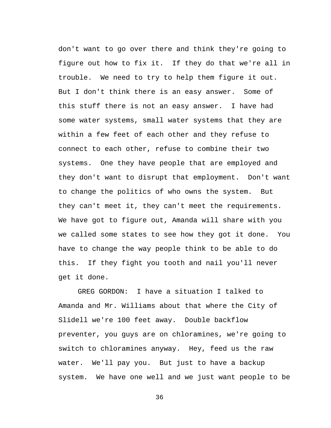don't want to go over there and think they're going to figure out how to fix it. If they do that we're all in trouble. We need to try to help them figure it out. But I don't think there is an easy answer. Some of this stuff there is not an easy answer. I have had some water systems, small water systems that they are within a few feet of each other and they refuse to connect to each other, refuse to combine their two systems. One they have people that are employed and they don't want to disrupt that employment. Don't want to change the politics of who owns the system. But they can't meet it, they can't meet the requirements. We have got to figure out, Amanda will share with you we called some states to see how they got it done. You have to change the way people think to be able to do this. If they fight you tooth and nail you'll never get it done.

GREG GORDON: I have a situation I talked to Amanda and Mr. Williams about that where the City of Slidell we're 100 feet away. Double backflow preventer, you guys are on chloramines, we're going to switch to chloramines anyway. Hey, feed us the raw water. We'll pay you. But just to have a backup system. We have one well and we just want people to be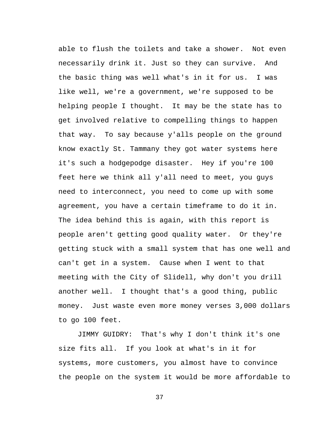able to flush the toilets and take a shower. Not even necessarily drink it. Just so they can survive. And the basic thing was well what's in it for us. I was like well, we're a government, we're supposed to be helping people I thought. It may be the state has to get involved relative to compelling things to happen that way. To say because y'alls people on the ground know exactly St. Tammany they got water systems here it's such a hodgepodge disaster. Hey if you're 100 feet here we think all y'all need to meet, you guys need to interconnect, you need to come up with some agreement, you have a certain timeframe to do it in. The idea behind this is again, with this report is people aren't getting good quality water. Or they're getting stuck with a small system that has one well and can't get in a system. Cause when I went to that meeting with the City of Slidell, why don't you drill another well. I thought that's a good thing, public money. Just waste even more money verses 3,000 dollars to go 100 feet.

JIMMY GUIDRY: That's why I don't think it's one size fits all. If you look at what's in it for systems, more customers, you almost have to convince the people on the system it would be more affordable to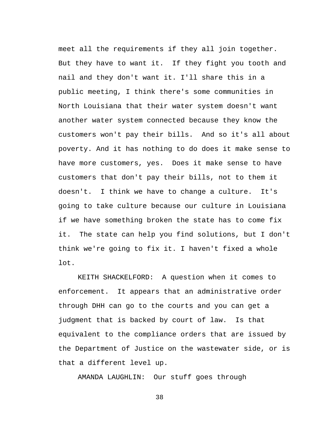meet all the requirements if they all join together. But they have to want it. If they fight you tooth and nail and they don't want it. I'll share this in a public meeting, I think there's some communities in North Louisiana that their water system doesn't want another water system connected because they know the customers won't pay their bills. And so it's all about poverty. And it has nothing to do does it make sense to have more customers, yes. Does it make sense to have customers that don't pay their bills, not to them it doesn't. I think we have to change a culture. It's going to take culture because our culture in Louisiana if we have something broken the state has to come fix it. The state can help you find solutions, but I don't think we're going to fix it. I haven't fixed a whole lot.

KEITH SHACKELFORD: A question when it comes to enforcement. It appears that an administrative order through DHH can go to the courts and you can get a judgment that is backed by court of law. Is that equivalent to the compliance orders that are issued by the Department of Justice on the wastewater side, or is that a different level up.

AMANDA LAUGHLIN: Our stuff goes through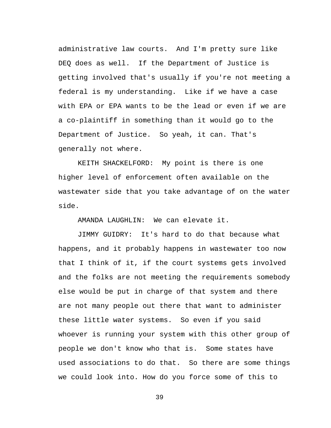administrative law courts. And I'm pretty sure like DEQ does as well. If the Department of Justice is getting involved that's usually if you're not meeting a federal is my understanding. Like if we have a case with EPA or EPA wants to be the lead or even if we are a co-plaintiff in something than it would go to the Department of Justice. So yeah, it can. That's generally not where.

KEITH SHACKELFORD: My point is there is one higher level of enforcement often available on the wastewater side that you take advantage of on the water side.

AMANDA LAUGHLIN: We can elevate it.

JIMMY GUIDRY: It's hard to do that because what happens, and it probably happens in wastewater too now that I think of it, if the court systems gets involved and the folks are not meeting the requirements somebody else would be put in charge of that system and there are not many people out there that want to administer these little water systems. So even if you said whoever is running your system with this other group of people we don't know who that is. Some states have used associations to do that. So there are some things we could look into. How do you force some of this to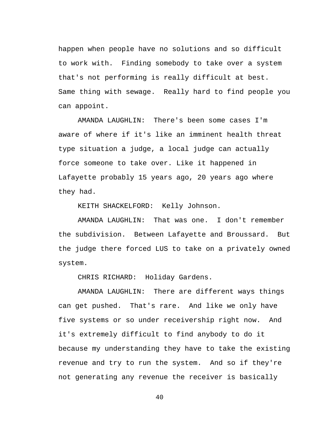happen when people have no solutions and so difficult to work with. Finding somebody to take over a system that's not performing is really difficult at best. Same thing with sewage. Really hard to find people you can appoint.

AMANDA LAUGHLIN: There's been some cases I'm aware of where if it's like an imminent health threat type situation a judge, a local judge can actually force someone to take over. Like it happened in Lafayette probably 15 years ago, 20 years ago where they had.

KEITH SHACKELFORD: Kelly Johnson.

AMANDA LAUGHLIN: That was one. I don't remember the subdivision. Between Lafayette and Broussard. But the judge there forced LUS to take on a privately owned system.

CHRIS RICHARD: Holiday Gardens.

AMANDA LAUGHLIN: There are different ways things can get pushed. That's rare. And like we only have five systems or so under receivership right now. And it's extremely difficult to find anybody to do it because my understanding they have to take the existing revenue and try to run the system. And so if they're not generating any revenue the receiver is basically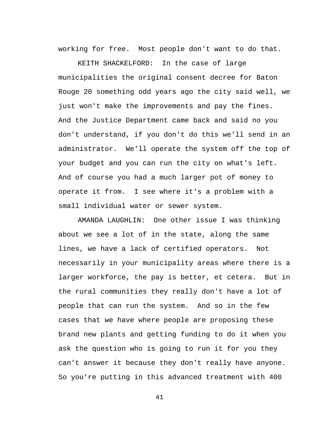working for free. Most people don't want to do that.

KEITH SHACKELFORD: In the case of large municipalities the original consent decree for Baton Rouge 20 something odd years ago the city said well, we just won't make the improvements and pay the fines. And the Justice Department came back and said no you don't understand, if you don't do this we'll send in an administrator. We'll operate the system off the top of your budget and you can run the city on what's left. And of course you had a much larger pot of money to operate it from. I see where it's a problem with a small individual water or sewer system.

AMANDA LAUGHLIN: One other issue I was thinking about we see a lot of in the state, along the same lines, we have a lack of certified operators. Not necessarily in your municipality areas where there is a larger workforce, the pay is better, et cetera. But in the rural communities they really don't have a lot of people that can run the system. And so in the few cases that we have where people are proposing these brand new plants and getting funding to do it when you ask the question who is going to run it for you they can't answer it because they don't really have anyone. So you're putting in this advanced treatment with 400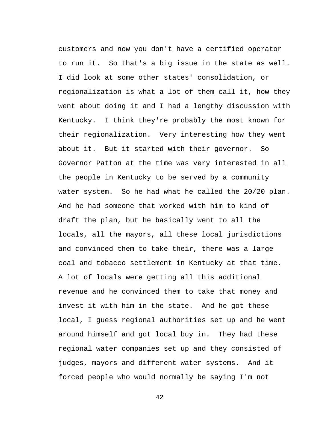customers and now you don't have a certified operator to run it. So that's a big issue in the state as well. I did look at some other states' consolidation, or regionalization is what a lot of them call it, how they went about doing it and I had a lengthy discussion with Kentucky. I think they're probably the most known for their regionalization. Very interesting how they went about it. But it started with their governor. So Governor Patton at the time was very interested in all the people in Kentucky to be served by a community water system. So he had what he called the 20/20 plan. And he had someone that worked with him to kind of draft the plan, but he basically went to all the locals, all the mayors, all these local jurisdictions and convinced them to take their, there was a large coal and tobacco settlement in Kentucky at that time. A lot of locals were getting all this additional revenue and he convinced them to take that money and invest it with him in the state. And he got these local, I guess regional authorities set up and he went around himself and got local buy in. They had these regional water companies set up and they consisted of judges, mayors and different water systems. And it forced people who would normally be saying I'm not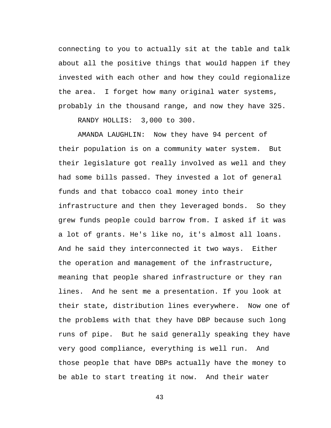connecting to you to actually sit at the table and talk about all the positive things that would happen if they invested with each other and how they could regionalize the area. I forget how many original water systems, probably in the thousand range, and now they have 325.

RANDY HOLLIS: 3,000 to 300.

AMANDA LAUGHLIN: Now they have 94 percent of their population is on a community water system. But their legislature got really involved as well and they had some bills passed. They invested a lot of general funds and that tobacco coal money into their infrastructure and then they leveraged bonds. So they grew funds people could barrow from. I asked if it was a lot of grants. He's like no, it's almost all loans. And he said they interconnected it two ways. Either the operation and management of the infrastructure, meaning that people shared infrastructure or they ran lines. And he sent me a presentation. If you look at their state, distribution lines everywhere. Now one of the problems with that they have DBP because such long runs of pipe. But he said generally speaking they have very good compliance, everything is well run. And those people that have DBPs actually have the money to be able to start treating it now. And their water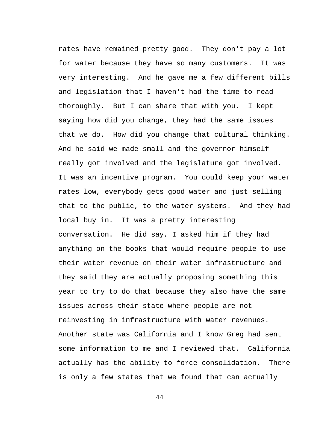rates have remained pretty good. They don't pay a lot for water because they have so many customers. It was very interesting. And he gave me a few different bills and legislation that I haven't had the time to read thoroughly. But I can share that with you. I kept saying how did you change, they had the same issues that we do. How did you change that cultural thinking. And he said we made small and the governor himself really got involved and the legislature got involved. It was an incentive program. You could keep your water rates low, everybody gets good water and just selling that to the public, to the water systems. And they had local buy in. It was a pretty interesting conversation. He did say, I asked him if they had anything on the books that would require people to use their water revenue on their water infrastructure and they said they are actually proposing something this year to try to do that because they also have the same issues across their state where people are not reinvesting in infrastructure with water revenues. Another state was California and I know Greg had sent some information to me and I reviewed that. California actually has the ability to force consolidation. There is only a few states that we found that can actually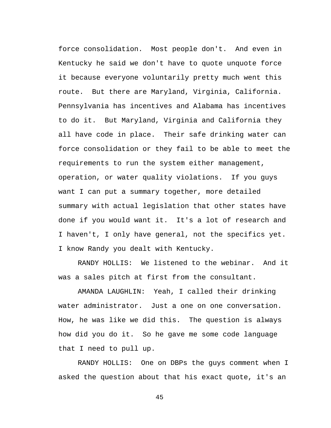force consolidation. Most people don't. And even in Kentucky he said we don't have to quote unquote force it because everyone voluntarily pretty much went this route. But there are Maryland, Virginia, California. Pennsylvania has incentives and Alabama has incentives to do it. But Maryland, Virginia and California they all have code in place. Their safe drinking water can force consolidation or they fail to be able to meet the requirements to run the system either management, operation, or water quality violations. If you guys want I can put a summary together, more detailed summary with actual legislation that other states have done if you would want it. It's a lot of research and I haven't, I only have general, not the specifics yet. I know Randy you dealt with Kentucky.

RANDY HOLLIS: We listened to the webinar. And it was a sales pitch at first from the consultant.

AMANDA LAUGHLIN: Yeah, I called their drinking water administrator. Just a one on one conversation. How, he was like we did this. The question is always how did you do it. So he gave me some code language that I need to pull up.

RANDY HOLLIS: One on DBPs the guys comment when I asked the question about that his exact quote, it's an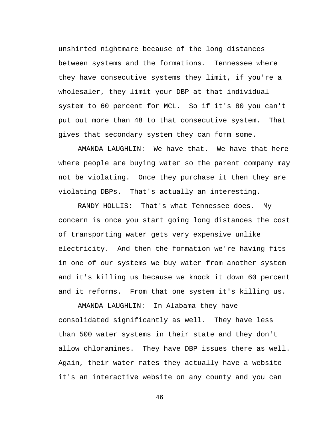unshirted nightmare because of the long distances between systems and the formations. Tennessee where they have consecutive systems they limit, if you're a wholesaler, they limit your DBP at that individual system to 60 percent for MCL. So if it's 80 you can't put out more than 48 to that consecutive system. That gives that secondary system they can form some.

AMANDA LAUGHLIN: We have that. We have that here where people are buying water so the parent company may not be violating. Once they purchase it then they are violating DBPs. That's actually an interesting.

RANDY HOLLIS: That's what Tennessee does. My concern is once you start going long distances the cost of transporting water gets very expensive unlike electricity. And then the formation we're having fits in one of our systems we buy water from another system and it's killing us because we knock it down 60 percent and it reforms. From that one system it's killing us.

AMANDA LAUGHLIN: In Alabama they have consolidated significantly as well. They have less than 500 water systems in their state and they don't allow chloramines. They have DBP issues there as well. Again, their water rates they actually have a website it's an interactive website on any county and you can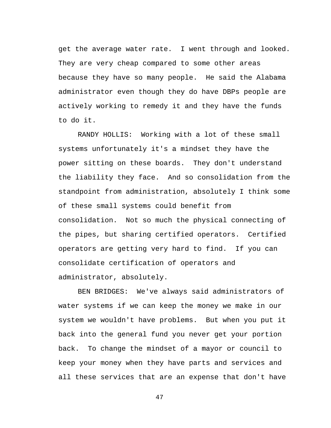get the average water rate. I went through and looked. They are very cheap compared to some other areas because they have so many people. He said the Alabama administrator even though they do have DBPs people are actively working to remedy it and they have the funds to do it.

RANDY HOLLIS: Working with a lot of these small systems unfortunately it's a mindset they have the power sitting on these boards. They don't understand the liability they face. And so consolidation from the standpoint from administration, absolutely I think some of these small systems could benefit from consolidation. Not so much the physical connecting of the pipes, but sharing certified operators. Certified operators are getting very hard to find. If you can consolidate certification of operators and administrator, absolutely.

BEN BRIDGES: We've always said administrators of water systems if we can keep the money we make in our system we wouldn't have problems. But when you put it back into the general fund you never get your portion back. To change the mindset of a mayor or council to keep your money when they have parts and services and all these services that are an expense that don't have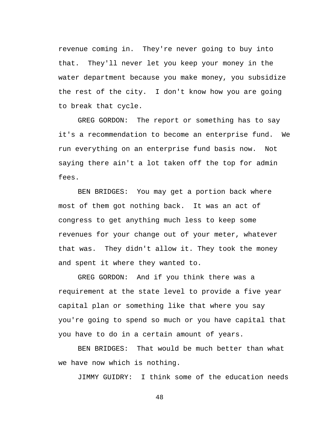revenue coming in. They're never going to buy into that. They'll never let you keep your money in the water department because you make money, you subsidize the rest of the city. I don't know how you are going to break that cycle.

GREG GORDON: The report or something has to say it's a recommendation to become an enterprise fund. We run everything on an enterprise fund basis now. Not saying there ain't a lot taken off the top for admin fees.

BEN BRIDGES: You may get a portion back where most of them got nothing back. It was an act of congress to get anything much less to keep some revenues for your change out of your meter, whatever that was. They didn't allow it. They took the money and spent it where they wanted to.

GREG GORDON: And if you think there was a requirement at the state level to provide a five year capital plan or something like that where you say you're going to spend so much or you have capital that you have to do in a certain amount of years.

BEN BRIDGES: That would be much better than what we have now which is nothing.

JIMMY GUIDRY: I think some of the education needs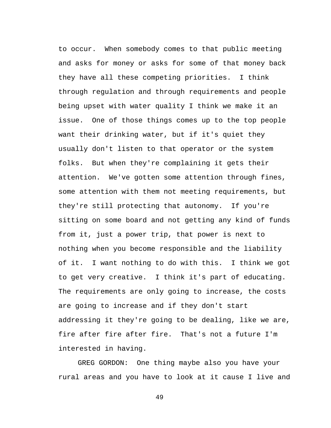to occur. When somebody comes to that public meeting and asks for money or asks for some of that money back they have all these competing priorities. I think through regulation and through requirements and people being upset with water quality I think we make it an issue. One of those things comes up to the top people want their drinking water, but if it's quiet they usually don't listen to that operator or the system folks. But when they're complaining it gets their attention. We've gotten some attention through fines, some attention with them not meeting requirements, but they're still protecting that autonomy. If you're sitting on some board and not getting any kind of funds from it, just a power trip, that power is next to nothing when you become responsible and the liability of it. I want nothing to do with this. I think we got to get very creative. I think it's part of educating. The requirements are only going to increase, the costs are going to increase and if they don't start addressing it they're going to be dealing, like we are, fire after fire after fire. That's not a future I'm interested in having.

GREG GORDON: One thing maybe also you have your rural areas and you have to look at it cause I live and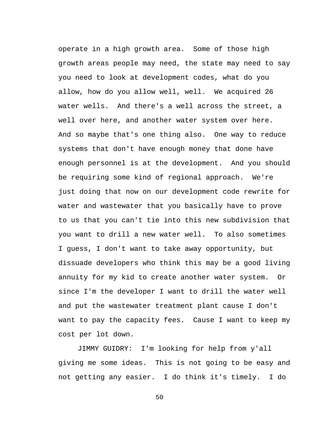operate in a high growth area. Some of those high growth areas people may need, the state may need to say you need to look at development codes, what do you allow, how do you allow well, well. We acquired 26 water wells. And there's a well across the street, a well over here, and another water system over here. And so maybe that's one thing also. One way to reduce systems that don't have enough money that done have enough personnel is at the development. And you should be requiring some kind of regional approach. We're just doing that now on our development code rewrite for water and wastewater that you basically have to prove to us that you can't tie into this new subdivision that you want to drill a new water well. To also sometimes I guess, I don't want to take away opportunity, but dissuade developers who think this may be a good living annuity for my kid to create another water system. Or since I'm the developer I want to drill the water well and put the wastewater treatment plant cause I don't want to pay the capacity fees. Cause I want to keep my cost per lot down.

JIMMY GUIDRY: I'm looking for help from y'all giving me some ideas. This is not going to be easy and not getting any easier. I do think it's timely. I do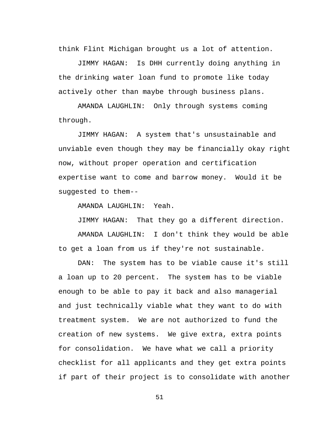think Flint Michigan brought us a lot of attention.

JIMMY HAGAN: Is DHH currently doing anything in the drinking water loan fund to promote like today actively other than maybe through business plans.

AMANDA LAUGHLIN: Only through systems coming through.

JIMMY HAGAN: A system that's unsustainable and unviable even though they may be financially okay right now, without proper operation and certification expertise want to come and barrow money. Would it be suggested to them--

AMANDA LAUGHLIN: Yeah.

JIMMY HAGAN: That they go a different direction.

AMANDA LAUGHLIN: I don't think they would be able to get a loan from us if they're not sustainable.

DAN: The system has to be viable cause it's still a loan up to 20 percent. The system has to be viable enough to be able to pay it back and also managerial and just technically viable what they want to do with treatment system. We are not authorized to fund the creation of new systems. We give extra, extra points for consolidation. We have what we call a priority checklist for all applicants and they get extra points if part of their project is to consolidate with another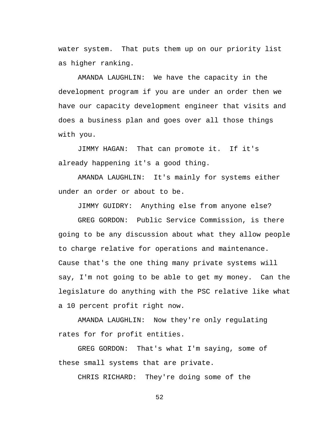water system. That puts them up on our priority list as higher ranking.

AMANDA LAUGHLIN: We have the capacity in the development program if you are under an order then we have our capacity development engineer that visits and does a business plan and goes over all those things with you.

JIMMY HAGAN: That can promote it. If it's already happening it's a good thing.

AMANDA LAUGHLIN: It's mainly for systems either under an order or about to be.

JIMMY GUIDRY: Anything else from anyone else?

GREG GORDON: Public Service Commission, is there going to be any discussion about what they allow people to charge relative for operations and maintenance. Cause that's the one thing many private systems will say, I'm not going to be able to get my money. Can the legislature do anything with the PSC relative like what a 10 percent profit right now.

AMANDA LAUGHLIN: Now they're only regulating rates for for profit entities.

GREG GORDON: That's what I'm saying, some of these small systems that are private.

CHRIS RICHARD: They're doing some of the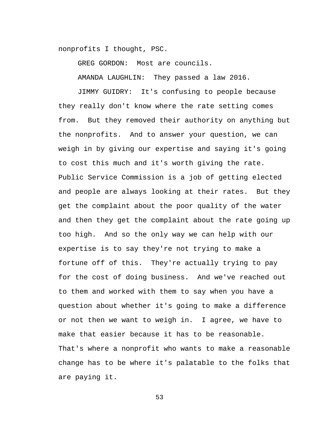nonprofits I thought, PSC.

GREG GORDON: Most are councils.

AMANDA LAUGHLIN: They passed a law 2016.

JIMMY GUIDRY: It's confusing to people because they really don't know where the rate setting comes from. But they removed their authority on anything but the nonprofits. And to answer your question, we can weigh in by giving our expertise and saying it's going to cost this much and it's worth giving the rate. Public Service Commission is a job of getting elected and people are always looking at their rates. But they get the complaint about the poor quality of the water and then they get the complaint about the rate going up too high. And so the only way we can help with our expertise is to say they're not trying to make a fortune off of this. They're actually trying to pay for the cost of doing business. And we've reached out to them and worked with them to say when you have a question about whether it's going to make a difference or not then we want to weigh in. I agree, we have to make that easier because it has to be reasonable. That's where a nonprofit who wants to make a reasonable change has to be where it's palatable to the folks that are paying it.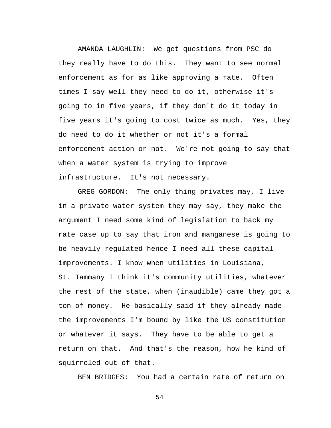AMANDA LAUGHLIN: We get questions from PSC do they really have to do this. They want to see normal enforcement as for as like approving a rate. Often times I say well they need to do it, otherwise it's going to in five years, if they don't do it today in five years it's going to cost twice as much. Yes, they do need to do it whether or not it's a formal enforcement action or not. We're not going to say that when a water system is trying to improve infrastructure. It's not necessary.

GREG GORDON: The only thing privates may, I live in a private water system they may say, they make the argument I need some kind of legislation to back my rate case up to say that iron and manganese is going to be heavily regulated hence I need all these capital improvements. I know when utilities in Louisiana, St. Tammany I think it's community utilities, whatever the rest of the state, when (inaudible) came they got a ton of money. He basically said if they already made the improvements I'm bound by like the US constitution or whatever it says. They have to be able to get a return on that. And that's the reason, how he kind of squirreled out of that.

BEN BRIDGES: You had a certain rate of return on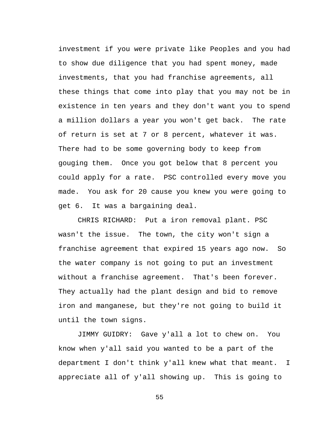investment if you were private like Peoples and you had to show due diligence that you had spent money, made investments, that you had franchise agreements, all these things that come into play that you may not be in existence in ten years and they don't want you to spend a million dollars a year you won't get back. The rate of return is set at 7 or 8 percent, whatever it was. There had to be some governing body to keep from gouging them. Once you got below that 8 percent you could apply for a rate. PSC controlled every move you made. You ask for 20 cause you knew you were going to get 6. It was a bargaining deal.

CHRIS RICHARD: Put a iron removal plant. PSC wasn't the issue. The town, the city won't sign a franchise agreement that expired 15 years ago now. So the water company is not going to put an investment without a franchise agreement. That's been forever. They actually had the plant design and bid to remove iron and manganese, but they're not going to build it until the town signs.

JIMMY GUIDRY: Gave y'all a lot to chew on. You know when y'all said you wanted to be a part of the department I don't think y'all knew what that meant. I appreciate all of y'all showing up. This is going to